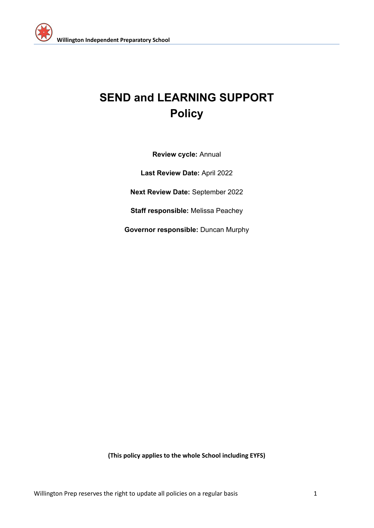

# **SEND and LEARNING SUPPORT Policy**

**Review cycle:** Annual

**Last Review Date:** April 2022

**Next Review Date:** September 2022

**Staff responsible:** Melissa Peachey

**Governor responsible:** Duncan Murphy

**(This policy applies to the whole School including EYFS)**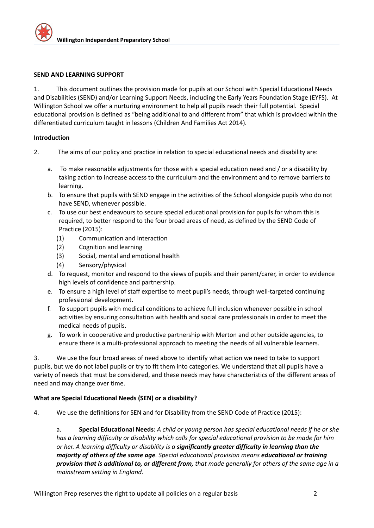#### **SEND AND LEARNING SUPPORT**

1. This document outlines the provision made for pupils at our School with Special Educational Needs and Disabilities (SEND) and/or Learning Support Needs, including the Early Years Foundation Stage (EYFS). At Willington School we offer a nurturing environment to help all pupils reach their full potential. Special educational provision is defined as "being additional to and different from" that which is provided within the differentiated curriculum taught in lessons (Children And Families Act 2014).

#### **Introduction**

- 2. The aims of our policy and practice in relation to special educational needs and disability are:
	- a. To make reasonable adjustments for those with a special education need and / or a disability by taking action to increase access to the curriculum and the environment and to remove barriers to learning.
	- b. To ensure that pupils with SEND engage in the activities of the School alongside pupils who do not have SEND, whenever possible.
	- c. To use our best endeavours to secure special educational provision for pupils for whom this is required, to better respond to the four broad areas of need, as defined by the SEND Code of Practice (2015):
		- (1) Communication and interaction
		- (2) Cognition and learning
		- (3) Social, mental and emotional health
		- (4) Sensory/physical
	- d. To request, monitor and respond to the views of pupils and their parent/carer, in order to evidence high levels of confidence and partnership.
	- e. To ensure a high level of staff expertise to meet pupil's needs, through well-targeted continuing professional development.
	- f. To support pupils with medical conditions to achieve full inclusion whenever possible in school activities by ensuring consultation with health and social care professionals in order to meet the medical needs of pupils.
	- g. To work in cooperative and productive partnership with Merton and other outside agencies, to ensure there is a multi-professional approach to meeting the needs of all vulnerable learners.

3. We use the four broad areas of need above to identify what action we need to take to support pupils, but we do not label pupils or try to fit them into categories. We understand that all pupils have a variety of needs that must be considered, and these needs may have characteristics of the different areas of need and may change over time.

# **What are Special Educational Needs (SEN) or a disability?**

4. We use the definitions for SEN and for Disability from the SEND Code of Practice (2015):

a. **Special Educational Needs**: *A child or young person has special educational needs if he or she has a learning difficulty or disability which calls for special educational provision to be made for him or her. A learning difficulty or disability is a significantly greater difficulty in learning than the majority of others of the same age. Special educational provision means educational or training* provision that is additional to, or different from, that made generally for others of the same age in a *mainstream setting in England.*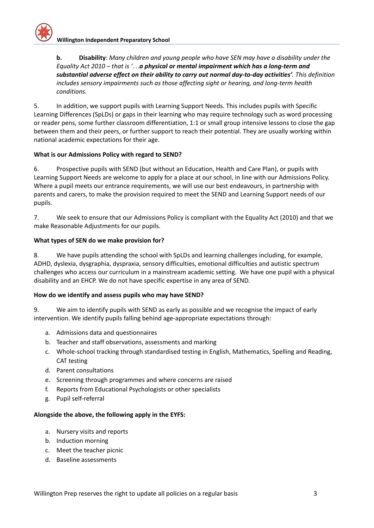**b. Disability**: *Many children and young people who have SEN may have a disability under the Equality Act 2010 – that is '…a physical or mental impairment which has a long-term and substantial adverse effect on their ability to carry out normal day-to-day activities'. This definition includes sensory impairments such as those affecting sight or hearing, and long-term health conditions.*

5. In addition, we support pupils with Learning Support Needs. This includes pupils with Specific Learning Differences (SpLDs) or gaps in their learning who may require technology such as word processing or reader pens, some further classroom differentiation, 1:1 or small group intensive lessons to close the gap between them and their peers, or further support to reach their potential. They are usually working within national academic expectations for their age.

# **What is our Admissions Policy with regard to SEND?**

6. Prospective pupils with SEND (but without an Education, Health and Care Plan), or pupils with Learning Support Needs are welcome to apply for a place at our school, in line with our Admissions Policy. Where a pupil meets our entrance requirements, we will use our best endeavours, in partnership with parents and carers, to make the provision required to meet the SEND and Learning Support needs of our pupils.

7. We seek to ensure that our Admissions Policy is compliant with the Equality Act (2010) and that we make Reasonable Adjustments for our pupils.

#### **What types of SEN do we make provision for?**

8. We have pupils attending the school with SpLDs and learning challenges including, for example, ADHD, dyslexia, dysgraphia, dyspraxia, sensory difficulties, emotional difficulties and autistic spectrum challenges who access our curriculum in a mainstream academic setting. We have one pupil with a physical disability and an EHCP. We do not have specific expertise in any area of SEND.

#### **How do we identify and assess pupils who may have SEND?**

9. We aim to identify pupils with SEND as early as possible and we recognise the impact of early intervention. We identify pupils falling behind age-appropriate expectations through:

- a. Admissions data and questionnaires
- b. Teacher and staff observations, assessments and marking
- c. Whole-school tracking through standardised testing in English, Mathematics, Spelling and Reading, CAT testing
- d. Parent consultations
- e. Screening through programmes and where concerns are raised
- f. Reports from Educational Psychologists or other specialists
- g. Pupil self-referral

#### **Alongside the above, the following apply in the EYFS:**

- a. Nursery visits and reports
- b. Induction morning
- c. Meet the teacher picnic
- d. Baseline assessments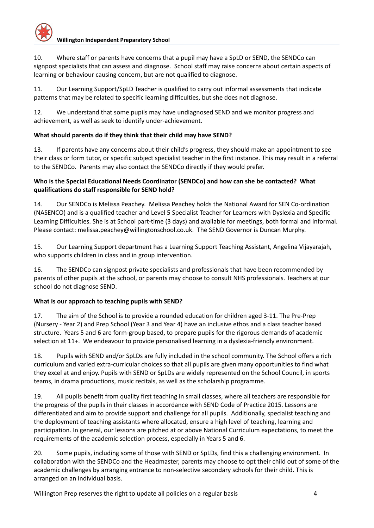# **Willington Independent Preparatory School**

10. Where staff or parents have concerns that a pupil may have a SpLD or SEND, the SENDCo can signpost specialists that can assess and diagnose. School staff may raise concerns about certain aspects of learning or behaviour causing concern, but are not qualified to diagnose.

11. Our Learning Support/SpLD Teacher is qualified to carry out informal assessments that indicate patterns that may be related to specific learning difficulties, but she does not diagnose.

12. We understand that some pupils may have undiagnosed SEND and we monitor progress and achievement, as well as seek to identify under-achievement.

# **What should parents do if they think that their child may have SEND?**

13. If parents have any concerns about their child's progress, they should make an appointment to see their class or form tutor, or specific subject specialist teacher in the first instance. This may result in a referral to the SENDCo. Parents may also contact the SENDCo directly if they would prefer.

# **Who is the Special Educational Needs Coordinator (SENDCo) and how can she be contacted? What qualifications do staff responsible for SEND hold?**

14. Our SENDCo is Melissa Peachey. Melissa Peachey holds the National Award for SEN Co-ordination (NASENCO) and is a qualified teacher and Level 5 Specialist Teacher for Learners with Dyslexia and Specific Learning Difficulties. She is at School part-time (3 days) and available for meetings, both formal and informal. Please contact: [melissa.peachey@willingtonschool.co.uk](mailto:melissa.peachey@willingtonschool.co.uk). The SEND Governor is Duncan Murphy.

15. Our Learning Support department has a Learning Support Teaching Assistant, Angelina Vijayarajah, who supports children in class and in group intervention.

16. The SENDCo can signpost private specialists and professionals that have been recommended by parents of other pupils at the school, or parents may choose to consult NHS professionals. Teachers at our school do not diagnose SEND.

# **What is our approach to teaching pupils with SEND?**

17. The aim of the School is to provide a rounded education for children aged 3-11. The Pre-Prep (Nursery - Year 2) and Prep School (Year 3 and Year 4) have an inclusive ethos and a class teacher based structure. Years 5 and 6 are form-group based, to prepare pupils for the rigorous demands of academic selection at 11+. We endeavour to provide personalised learning in a dyslexia-friendly environment.

18. Pupils with SEND and/or SpLDs are fully included in the school community. The School offers a rich curriculum and varied extra-curricular choices so that all pupils are given many opportunities to find what they excel at and enjoy. Pupils with SEND or SpLDs are widely represented on the School Council, in sports teams, in drama productions, music recitals, as well as the scholarship programme.

19. All pupils benefit from quality first teaching in small classes, where all teachers are responsible for the progress of the pupils in their classes in accordance with SEND Code of Practice 2015. Lessons are differentiated and aim to provide support and challenge for all pupils. Additionally, specialist teaching and the deployment of teaching assistants where allocated, ensure a high level of teaching, learning and participation. In general, our lessons are pitched at or above National Curriculum expectations, to meet the requirements of the academic selection process, especially in Years 5 and 6.

20. Some pupils, including some of those with SEND or SpLDs, find this a challenging environment. In collaboration with the SENDCo and the Headmaster, parents may choose to opt their child out of some of the academic challenges by arranging entrance to non-selective secondary schools for their child. This is arranged on an individual basis.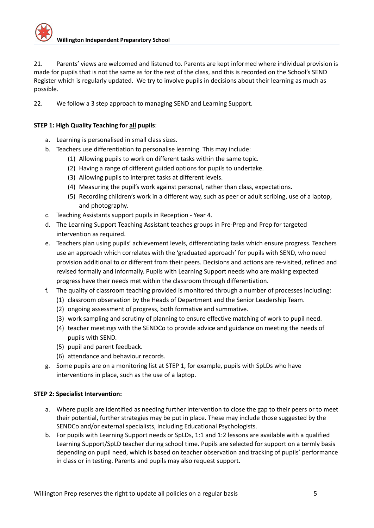21. Parents' views are welcomed and listened to. Parents are kept informed where individual provision is made for pupils that is not the same as for the rest of the class, and this is recorded on the School's SEND Register which is regularly updated. We try to involve pupils in decisions about their learning as much as possible.

22. We follow a 3 step approach to managing SEND and Learning Support.

# **STEP 1: High Quality Teaching for all pupils**:

- a. Learning is personalised in small class sizes.
- b. Teachers use differentiation to personalise learning. This may include:
	- (1) Allowing pupils to work on different tasks within the same topic.
	- (2) Having a range of different guided options for pupils to undertake.
	- (3) Allowing pupils to interpret tasks at different levels.
	- (4) Measuring the pupil's work against personal, rather than class, expectations.
	- (5) Recording children's work in a different way, such as peer or adult scribing, use of a laptop, and photography.
- c. Teaching Assistants support pupils in Reception Year 4.
- d. The Learning Support Teaching Assistant teaches groups in Pre-Prep and Prep for targeted intervention as required.
- e. Teachers plan using pupils' achievement levels, differentiating tasks which ensure progress. Teachers use an approach which correlates with the 'graduated approach' for pupils with SEND, who need provision additional to or different from their peers. Decisions and actions are re-visited, refined and revised formally and informally. Pupils with Learning Support needs who are making expected progress have their needs met within the classroom through differentiation.
- f. The quality of classroom teaching provided is monitored through a number of processes including:
	- (1) classroom observation by the Heads of Department and the Senior Leadership Team.
	- (2) ongoing assessment of progress, both formative and summative.
	- (3) work sampling and scrutiny of planning to ensure effective matching of work to pupil need.
	- (4) teacher meetings with the SENDCo to provide advice and guidance on meeting the needs of pupils with SEND.
	- (5) pupil and parent feedback.
	- (6) attendance and behaviour records.
- g. Some pupils are on a monitoring list at STEP 1, for example, pupils with SpLDs who have interventions in place, such as the use of a laptop.

# **STEP 2: Specialist Intervention:**

- a. Where pupils are identified as needing further intervention to close the gap to their peers or to meet their potential, further strategies may be put in place. These may include those suggested by the SENDCo and/or external specialists, including Educational Psychologists.
- b. For pupils with Learning Support needs or SpLDs, 1:1 and 1:2 lessons are available with a qualified Learning Support/SpLD teacher during school time. Pupils are selected for support on a termly basis depending on pupil need, which is based on teacher observation and tracking of pupils' performance in class or in testing. Parents and pupils may also request support.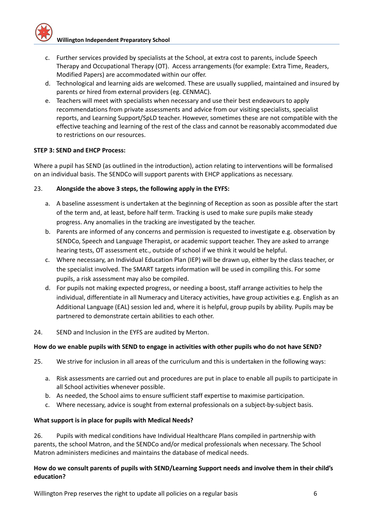- c. Further services provided by specialists at the School, at extra cost to parents, include Speech Therapy and Occupational Therapy (OT). Access arrangements (for example: Extra Time, Readers, Modified Papers) are accommodated within our offer.
- d. Technological and learning aids are welcomed. These are usually supplied, maintained and insured by parents or hired from external providers (eg. CENMAC).
- e. Teachers will meet with specialists when necessary and use their best endeavours to apply recommendations from private assessments and advice from our visiting specialists, specialist reports, and Learning Support/SpLD teacher. However, sometimes these are not compatible with the effective teaching and learning of the rest of the class and cannot be reasonably accommodated due to restrictions on our resources.

#### **STEP 3: SEND and EHCP Process:**

Where a pupil has SEND (as outlined in the introduction), action relating to interventions will be formalised on an individual basis. The SENDCo will support parents with EHCP applications as necessary.

#### 23. **Alongside the above 3 steps, the following apply in the EYFS:**

- a. A baseline assessment is undertaken at the beginning of Reception as soon as possible after the start of the term and, at least, before half term. Tracking is used to make sure pupils make steady progress. Any anomalies in the tracking are investigated by the teacher.
- b. Parents are informed of any concerns and permission is requested to investigate e.g. observation by SENDCo, Speech and Language Therapist, or academic support teacher. They are asked to arrange hearing tests, OT assessment etc., outside of school if we think it would be helpful.
- c. Where necessary, an Individual Education Plan (IEP) will be drawn up, either by the class teacher, or the specialist involved. The SMART targets information will be used in compiling this. For some pupils, a risk assessment may also be compiled.
- d. For pupils not making expected progress, or needing a boost, staff arrange activities to help the individual, differentiate in all Numeracy and Literacy activities, have group activities e.g. English as an Additional Language (EAL) session led and, where it is helpful, group pupils by ability. Pupils may be partnered to demonstrate certain abilities to each other.
- 24. SEND and Inclusion in the EYFS are audited by Merton.

#### How do we enable pupils with SEND to engage in activities with other pupils who do not have SEND?

- 25. We strive for inclusion in all areas of the curriculum and this is undertaken in the following ways:
	- a. Risk assessments are carried out and procedures are put in place to enable all pupils to participate in all School activities whenever possible.
	- b. As needed, the School aims to ensure sufficient staff expertise to maximise participation.
	- c. Where necessary, advice is sought from external professionals on a subject-by-subject basis.

#### **What support is in place for pupils with Medical Needs?**

26. Pupils with medical conditions have Individual Healthcare Plans compiled in partnership with parents, the school Matron, and the SENDCo and/or medical professionals when necessary. The School Matron administers medicines and maintains the database of medical needs.

#### **How do we consult parents of pupils with SEND/Learning Support needs and involve them in their child's education?**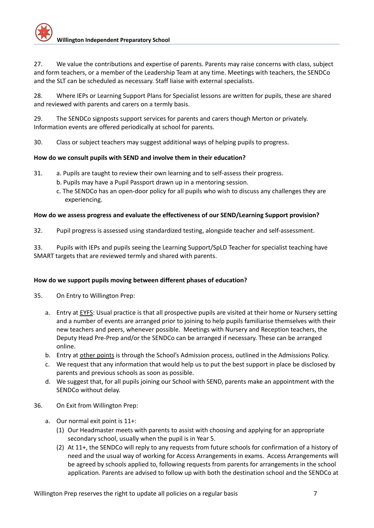27. We value the contributions and expertise of parents. Parents may raise concerns with class, subject and form teachers, or a member of the Leadership Team at any time. Meetings with teachers, the SENDCo and the SLT can be scheduled as necessary. Staff liaise with external specialists.

28. Where IEPs or Learning Support Plans for Specialist lessons are written for pupils, these are shared and reviewed with parents and carers on a termly basis.

29. The SENDCo signposts support services for parents and carers though Merton or privately. Information events are offered periodically at school for parents.

30. Class or subject teachers may suggest additional ways of helping pupils to progress.

# **How do we consult pupils with SEND and involve them in their education?**

- 31. a. Pupils are taught to review their own learning and to self-assess their progress.
	- b. Pupils may have a Pupil Passport drawn up in a mentoring session.
	- c. The SENDCo has an open-door policy for all pupils who wish to discuss any challenges they are experiencing.

# **How do we assess progress and evaluate the effectiveness of our SEND/Learning Support provision?**

32. Pupil progress is assessed using standardized testing, alongside teacher and self-assessment.

33. Pupils with IEPs and pupils seeing the Learning Support/SpLD Teacher for specialist teaching have SMART targets that are reviewed termly and shared with parents.

# **How do we support pupils moving between different phases of education?**

- 35. On Entry to Willington Prep:
	- a. Entry at EYFS: Usual practice is that all prospective pupils are visited at their home or Nursery setting and a number of events are arranged prior to joining to help pupils familiarise themselves with their new teachers and peers, whenever possible. Meetings with Nursery and Reception teachers, the Deputy Head Pre-Prep and/or the SENDCo can be arranged if necessary. These can be arranged online.
	- b. Entry at other points is through the School's Admission process, outlined in the Admissions Policy.
	- c. We request that any information that would help us to put the best support in place be disclosed by parents and previous schools as soon as possible.
	- d. We suggest that, for all pupils joining our School with SEND, parents make an appointment with the SENDCo without delay.
- 36. On Exit from Willington Prep:
	- a. Our normal exit point is 11+:
		- (1) Our Headmaster meets with parents to assist with choosing and applying for an appropriate secondary school, usually when the pupil is in Year 5.
		- (2) At 11+, the SENDCo will reply to any requests from future schools for confirmation of a history of need and the usual way of working for Access Arrangements in exams. Access Arrangements will be agreed by schools applied to, following requests from parents for arrangements in the school application. Parents are advised to follow up with both the destination school and the SENDCo at

Willington Prep reserves the right to update all policies on a regular basis 7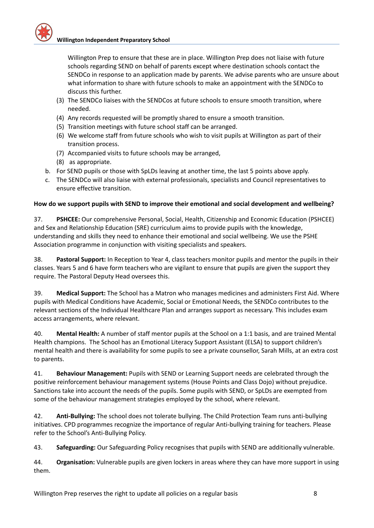

Willington Prep to ensure that these are in place. Willington Prep does not liaise with future schools regarding SEND on behalf of parents except where destination schools contact the SENDCo in response to an application made by parents. We advise parents who are unsure about what information to share with future schools to make an appointment with the SENDCo to discuss this further.

- (3) The SENDCo liaises with the SENDCos at future schools to ensure smooth transition, where needed.
- (4) Any records requested will be promptly shared to ensure a smooth transition.
- (5) Transition meetings with future school staff can be arranged.
- (6) We welcome staff from future schools who wish to visit pupils at Willington as part of their transition process.
- (7) Accompanied visits to future schools may be arranged,
- (8) as appropriate.
- b. For SEND pupils or those with SpLDs leaving at another time, the last 5 points above apply.
- c. The SENDCo will also liaise with external professionals, specialists and Council representatives to ensure effective transition.

# **How do we support pupils with SEND to improve their emotional and social development and wellbeing?**

37. **PSHCEE:** Our comprehensive Personal, Social, Health, Citizenship and Economic Education (PSHCEE) and Sex and Relationship Education (SRE) curriculum aims to provide pupils with the knowledge, understanding and skills they need to enhance their emotional and social wellbeing. We use the PSHE Association programme in conjunction with visiting specialists and speakers.

38. **Pastoral Support:** In Reception to Year 4, class teachers monitor pupils and mentor the pupils in their classes. Years 5 and 6 have form teachers who are vigilant to ensure that pupils are given the support they require. The Pastoral Deputy Head oversees this.

39. **Medical Support:** The School has a Matron who manages medicines and administers First Aid. Where pupils with Medical Conditions have Academic, Social or Emotional Needs, the SENDCo contributes to the relevant sections of the Individual Healthcare Plan and arranges support as necessary. This includes exam access arrangements, where relevant.

40. **Mental Health:** A number of staff mentor pupils at the School on a 1:1 basis, and are trained Mental Health champions. The School has an Emotional Literacy Support Assistant (ELSA) to support children's mental health and there is availability for some pupils to see a private counsellor, Sarah Mills, at an extra cost to parents.

41. **Behaviour Management:** Pupils with SEND or Learning Support needs are celebrated through the positive reinforcement behaviour management systems (House Points and Class Dojo) without prejudice. Sanctions take into account the needs of the pupils. Some pupils with SEND, or SpLDs are exempted from some of the behaviour management strategies employed by the school, where relevant.

42. **Anti-Bullying:** The school does not tolerate bullying. The Child Protection Team runs anti-bullying initiatives. CPD programmes recognize the importance of regular Anti-bullying training for teachers. Please refer to the School's Anti-Bullying Policy.

43. **Safeguarding:** Our Safeguarding Policy recognises that pupils with SEND are additionally vulnerable.

44. **Organisation:** Vulnerable pupils are given lockers in areas where they can have more support in using them.